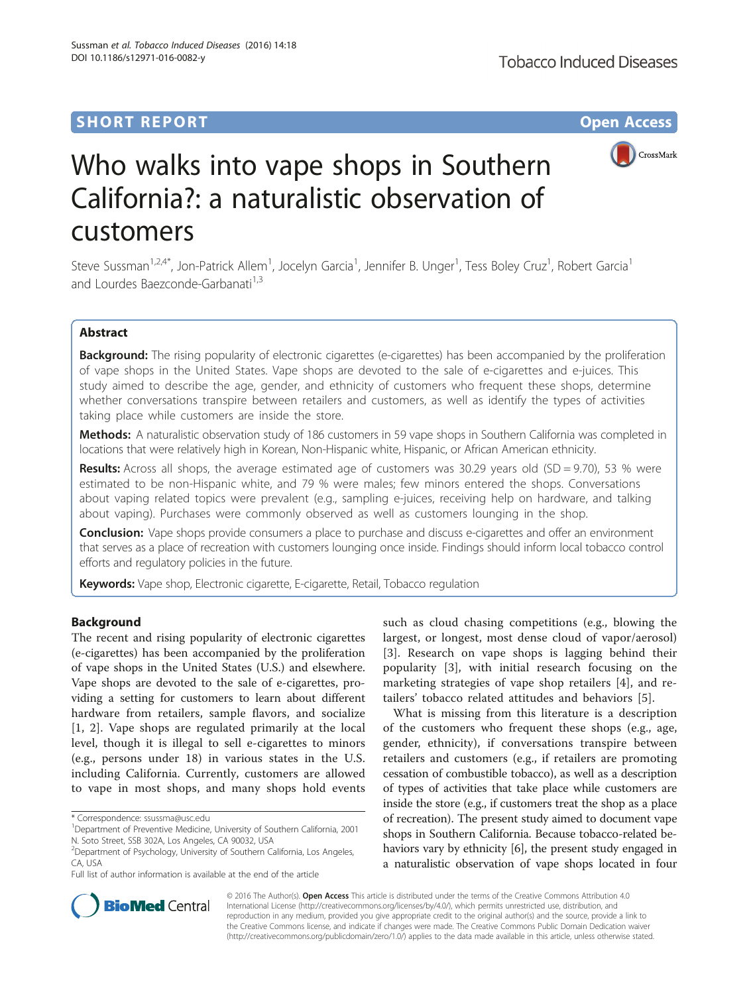## **SHORT REPORT SHORT CONSUMING THE CONSUMING THE CONSUMING THE CONSUMING THE CONSUMING THE CONSUMING THE CONSUMING THE CONSUMING THE CONSUMING THE CONSUMING THE CONSUMING THE CONSUMING THE CONSUMING THE CONSUMING THE CONS**



# Who walks into vape shops in Southern California?: a naturalistic observation of customers

Steve Sussman<sup>1,2,4\*</sup>, Jon-Patrick Allem<sup>1</sup>, Jocelyn Garcia<sup>1</sup>, Jennifer B. Unger<sup>1</sup>, Tess Boley Cruz<sup>1</sup>, Robert Garcia<sup>1</sup> and Lourdes Baezconde-Garbanati<sup>1,3</sup>

## Abstract

Background: The rising popularity of electronic cigarettes (e-cigarettes) has been accompanied by the proliferation of vape shops in the United States. Vape shops are devoted to the sale of e-cigarettes and e-juices. This study aimed to describe the age, gender, and ethnicity of customers who frequent these shops, determine whether conversations transpire between retailers and customers, as well as identify the types of activities taking place while customers are inside the store.

Methods: A naturalistic observation study of 186 customers in 59 vape shops in Southern California was completed in locations that were relatively high in Korean, Non-Hispanic white, Hispanic, or African American ethnicity.

**Results:** Across all shops, the average estimated age of customers was 30.29 years old (SD = 9.70), 53 % were estimated to be non-Hispanic white, and 79 % were males; few minors entered the shops. Conversations about vaping related topics were prevalent (e.g., sampling e-juices, receiving help on hardware, and talking about vaping). Purchases were commonly observed as well as customers lounging in the shop.

**Conclusion:** Vape shops provide consumers a place to purchase and discuss e-cigarettes and offer an environment that serves as a place of recreation with customers lounging once inside. Findings should inform local tobacco control efforts and regulatory policies in the future.

Keywords: Vape shop, Electronic cigarette, E-cigarette, Retail, Tobacco regulation

## Background

The recent and rising popularity of electronic cigarettes (e-cigarettes) has been accompanied by the proliferation of vape shops in the United States (U.S.) and elsewhere. Vape shops are devoted to the sale of e-cigarettes, providing a setting for customers to learn about different hardware from retailers, sample flavors, and socialize [[1, 2\]](#page-4-0). Vape shops are regulated primarily at the local level, though it is illegal to sell e-cigarettes to minors (e.g., persons under 18) in various states in the U.S. including California. Currently, customers are allowed to vape in most shops, and many shops hold events

Full list of author information is available at the end of the article

such as cloud chasing competitions (e.g., blowing the largest, or longest, most dense cloud of vapor/aerosol) [[3\]](#page-4-0). Research on vape shops is lagging behind their popularity [\[3\]](#page-4-0), with initial research focusing on the marketing strategies of vape shop retailers [[4](#page-4-0)], and retailers' tobacco related attitudes and behaviors [\[5](#page-4-0)].

What is missing from this literature is a description of the customers who frequent these shops (e.g., age, gender, ethnicity), if conversations transpire between retailers and customers (e.g., if retailers are promoting cessation of combustible tobacco), as well as a description of types of activities that take place while customers are inside the store (e.g., if customers treat the shop as a place of recreation). The present study aimed to document vape shops in Southern California. Because tobacco-related behaviors vary by ethnicity [\[6](#page-4-0)], the present study engaged in a naturalistic observation of vape shops located in four



© 2016 The Author(s). Open Access This article is distributed under the terms of the Creative Commons Attribution 4.0 International License [\(http://creativecommons.org/licenses/by/4.0/](http://creativecommons.org/licenses/by/4.0/)), which permits unrestricted use, distribution, and reproduction in any medium, provided you give appropriate credit to the original author(s) and the source, provide a link to the Creative Commons license, and indicate if changes were made. The Creative Commons Public Domain Dedication waiver [\(http://creativecommons.org/publicdomain/zero/1.0/](http://creativecommons.org/publicdomain/zero/1.0/)) applies to the data made available in this article, unless otherwise stated.

<sup>\*</sup> Correspondence: [ssussma@usc.edu](mailto:ssussma@usc.edu) <sup>1</sup>

Department of Preventive Medicine, University of Southern California, 2001 N. Soto Street, SSB 302A, Los Angeles, CA 90032, USA

<sup>&</sup>lt;sup>2</sup>Department of Psychology, University of Southern California, Los Angeles, CA, USA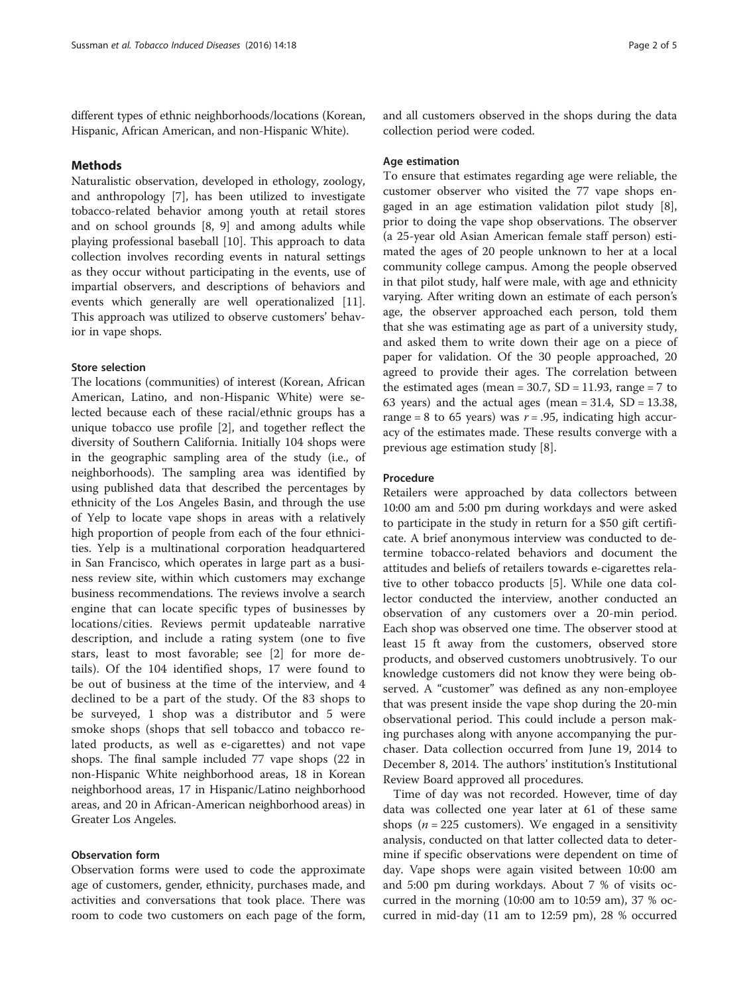different types of ethnic neighborhoods/locations (Korean, Hispanic, African American, and non-Hispanic White).

## Methods

Naturalistic observation, developed in ethology, zoology, and anthropology [[7\]](#page-4-0), has been utilized to investigate tobacco-related behavior among youth at retail stores and on school grounds [\[8](#page-4-0), [9\]](#page-4-0) and among adults while playing professional baseball [[10](#page-4-0)]. This approach to data collection involves recording events in natural settings as they occur without participating in the events, use of impartial observers, and descriptions of behaviors and events which generally are well operationalized [\[11](#page-4-0)]. This approach was utilized to observe customers' behavior in vape shops.

#### Store selection

The locations (communities) of interest (Korean, African American, Latino, and non-Hispanic White) were selected because each of these racial/ethnic groups has a unique tobacco use profile [\[2](#page-4-0)], and together reflect the diversity of Southern California. Initially 104 shops were in the geographic sampling area of the study (i.e., of neighborhoods). The sampling area was identified by using published data that described the percentages by ethnicity of the Los Angeles Basin, and through the use of Yelp to locate vape shops in areas with a relatively high proportion of people from each of the four ethnicities. Yelp is a multinational corporation headquartered in San Francisco, which operates in large part as a business review site, within which customers may exchange business recommendations. The reviews involve a search engine that can locate specific types of businesses by locations/cities. Reviews permit updateable narrative description, and include a rating system (one to five stars, least to most favorable; see [[2\]](#page-4-0) for more details). Of the 104 identified shops, 17 were found to be out of business at the time of the interview, and 4 declined to be a part of the study. Of the 83 shops to be surveyed, 1 shop was a distributor and 5 were smoke shops (shops that sell tobacco and tobacco related products, as well as e-cigarettes) and not vape shops. The final sample included 77 vape shops (22 in non-Hispanic White neighborhood areas, 18 in Korean neighborhood areas, 17 in Hispanic/Latino neighborhood areas, and 20 in African-American neighborhood areas) in Greater Los Angeles.

## Observation form

Observation forms were used to code the approximate age of customers, gender, ethnicity, purchases made, and activities and conversations that took place. There was room to code two customers on each page of the form, and all customers observed in the shops during the data collection period were coded.

#### Age estimation

To ensure that estimates regarding age were reliable, the customer observer who visited the 77 vape shops engaged in an age estimation validation pilot study [\[8](#page-4-0)], prior to doing the vape shop observations. The observer (a 25-year old Asian American female staff person) estimated the ages of 20 people unknown to her at a local community college campus. Among the people observed in that pilot study, half were male, with age and ethnicity varying. After writing down an estimate of each person's age, the observer approached each person, told them that she was estimating age as part of a university study, and asked them to write down their age on a piece of paper for validation. Of the 30 people approached, 20 agreed to provide their ages. The correlation between the estimated ages (mean =  $30.7$ , SD = 11.93, range =  $7$  to 63 years) and the actual ages (mean =  $31.4$ , SD =  $13.38$ , range = 8 to 65 years) was  $r = .95$ , indicating high accuracy of the estimates made. These results converge with a previous age estimation study [\[8](#page-4-0)].

#### Procedure

Retailers were approached by data collectors between 10:00 am and 5:00 pm during workdays and were asked to participate in the study in return for a \$50 gift certificate. A brief anonymous interview was conducted to determine tobacco-related behaviors and document the attitudes and beliefs of retailers towards e-cigarettes relative to other tobacco products [[5\]](#page-4-0). While one data collector conducted the interview, another conducted an observation of any customers over a 20-min period. Each shop was observed one time. The observer stood at least 15 ft away from the customers, observed store products, and observed customers unobtrusively. To our knowledge customers did not know they were being observed. A "customer" was defined as any non-employee that was present inside the vape shop during the 20-min observational period. This could include a person making purchases along with anyone accompanying the purchaser. Data collection occurred from June 19, 2014 to December 8, 2014. The authors' institution's Institutional Review Board approved all procedures.

Time of day was not recorded. However, time of day data was collected one year later at 61 of these same shops ( $n = 225$  customers). We engaged in a sensitivity analysis, conducted on that latter collected data to determine if specific observations were dependent on time of day. Vape shops were again visited between 10:00 am and 5:00 pm during workdays. About 7 % of visits occurred in the morning  $(10:00)$  am to  $10:59$  am), 37 % occurred in mid-day (11 am to 12:59 pm), 28 % occurred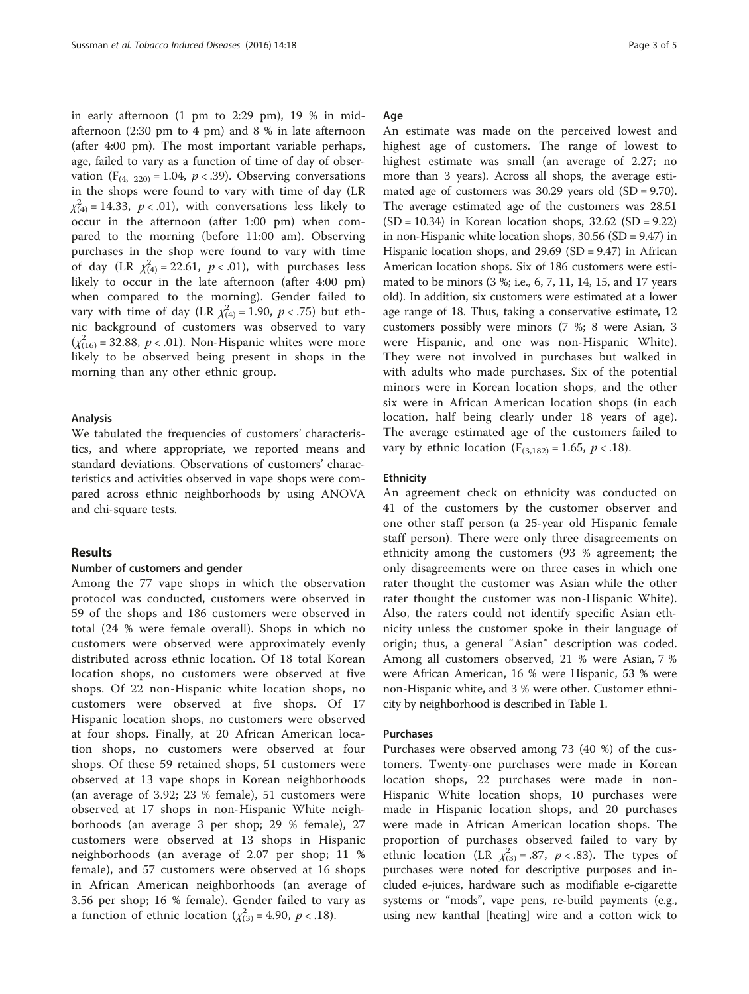in early afternoon (1 pm to 2:29 pm), 19 % in midafternoon (2:30 pm to 4 pm) and 8 % in late afternoon (after 4:00 pm). The most important variable perhaps, age, failed to vary as a function of time of day of observation ( $F_{(4, 220)} = 1.04$ ,  $p < .39$ ). Observing conversations in the shops were found to vary with time of day (LR  $\chi^2_{(4)} = 14.33, p < .01$ ), with conversations less likely to occur in the afternoon (after 1:00 pm) when compared to the morning (before 11:00 am). Observing purchases in the shop were found to vary with time of day (LR  $\chi^2_{(4)} = 22.61$ ,  $p < .01$ ), with purchases less likely to occur in the late afternoon (after 4:00 pm) when compared to the morning). Gender failed to vary with time of day (LR  $\chi^2_{(4)} = 1.90$ ,  $p < .75$ ) but ethnic background of customers was observed to vary  $(\chi^2_{(16)} = 32.88, p < .01)$ . Non-Hispanic whites were more likely to be observed being present in shops in the morning than any other ethnic group.

### Analysis

We tabulated the frequencies of customers' characteristics, and where appropriate, we reported means and standard deviations. Observations of customers' characteristics and activities observed in vape shops were compared across ethnic neighborhoods by using ANOVA and chi-square tests.

#### Results

#### Number of customers and gender

Among the 77 vape shops in which the observation protocol was conducted, customers were observed in 59 of the shops and 186 customers were observed in total (24 % were female overall). Shops in which no customers were observed were approximately evenly distributed across ethnic location. Of 18 total Korean location shops, no customers were observed at five shops. Of 22 non-Hispanic white location shops, no customers were observed at five shops. Of 17 Hispanic location shops, no customers were observed at four shops. Finally, at 20 African American location shops, no customers were observed at four shops. Of these 59 retained shops, 51 customers were observed at 13 vape shops in Korean neighborhoods (an average of 3.92; 23 % female), 51 customers were observed at 17 shops in non-Hispanic White neighborhoods (an average 3 per shop; 29 % female), 27 customers were observed at 13 shops in Hispanic neighborhoods (an average of 2.07 per shop; 11 % female), and 57 customers were observed at 16 shops in African American neighborhoods (an average of 3.56 per shop; 16 % female). Gender failed to vary as a function of ethnic location ( $\chi^2_{(3)}$  = 4.90, p < .18).

#### Age

An estimate was made on the perceived lowest and highest age of customers. The range of lowest to highest estimate was small (an average of 2.27; no more than 3 years). Across all shops, the average estimated age of customers was  $30.29$  years old  $(SD = 9.70)$ . The average estimated age of the customers was 28.51  $(SD = 10.34)$  in Korean location shops,  $32.62$   $(SD = 9.22)$ in non-Hispanic white location shops, 30.56 (SD = 9.47) in Hispanic location shops, and  $29.69$  (SD =  $9.47$ ) in African American location shops. Six of 186 customers were estimated to be minors (3 %; i.e., 6, 7, 11, 14, 15, and 17 years old). In addition, six customers were estimated at a lower age range of 18. Thus, taking a conservative estimate, 12 customers possibly were minors (7 %; 8 were Asian, 3 were Hispanic, and one was non-Hispanic White). They were not involved in purchases but walked in with adults who made purchases. Six of the potential minors were in Korean location shops, and the other six were in African American location shops (in each location, half being clearly under 18 years of age). The average estimated age of the customers failed to vary by ethnic location  $(F_{(3,182)} = 1.65, p < .18)$ .

#### **Ethnicity**

An agreement check on ethnicity was conducted on 41 of the customers by the customer observer and one other staff person (a 25-year old Hispanic female staff person). There were only three disagreements on ethnicity among the customers (93 % agreement; the only disagreements were on three cases in which one rater thought the customer was Asian while the other rater thought the customer was non-Hispanic White). Also, the raters could not identify specific Asian ethnicity unless the customer spoke in their language of origin; thus, a general "Asian" description was coded. Among all customers observed, 21 % were Asian, 7 % were African American, 16 % were Hispanic, 53 % were non-Hispanic white, and 3 % were other. Customer ethnicity by neighborhood is described in Table [1](#page-3-0).

#### Purchases

Purchases were observed among 73 (40 %) of the customers. Twenty-one purchases were made in Korean location shops, 22 purchases were made in non-Hispanic White location shops, 10 purchases were made in Hispanic location shops, and 20 purchases were made in African American location shops. The proportion of purchases observed failed to vary by ethnic location (LR  $\chi^2_{(3)} = .87$ ,  $p < .83$ ). The types of purchases were noted for descriptive purposes and included e-juices, hardware such as modifiable e-cigarette systems or "mods", vape pens, re-build payments (e.g., using new kanthal [heating] wire and a cotton wick to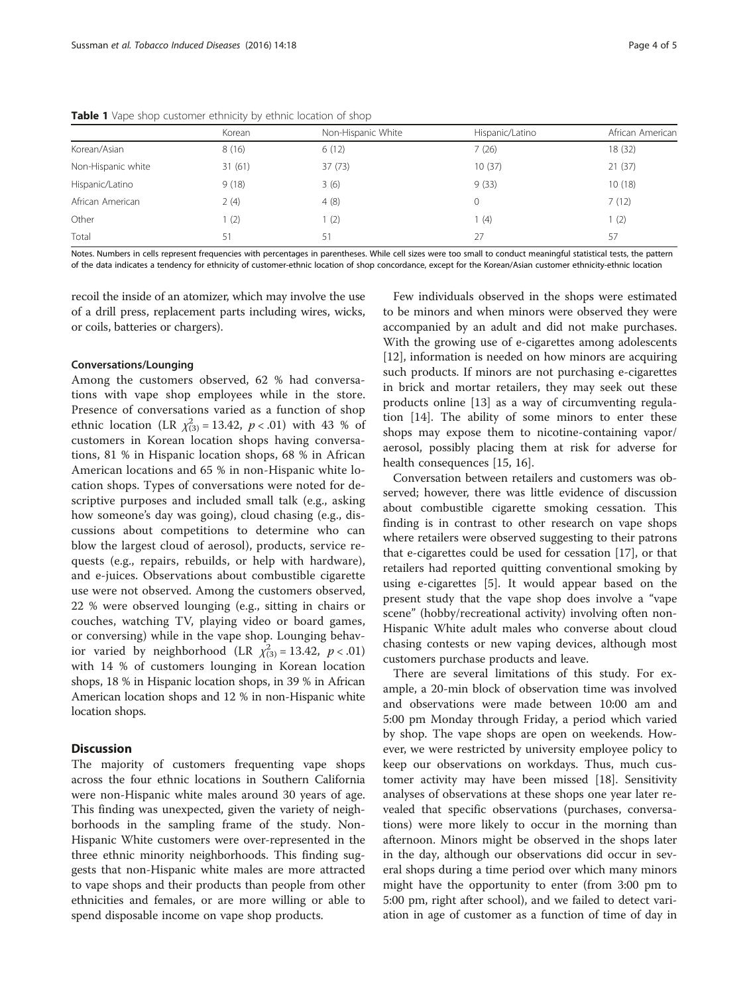|                    | Korean | Non-Hispanic White | Hispanic/Latino | African American |
|--------------------|--------|--------------------|-----------------|------------------|
| Korean/Asian       | 8(16)  | 6(12)              | 7(26)           | 18 (32)          |
| Non-Hispanic white | 31(61) | 37(73)             | 10(37)          | 21(37)           |
| Hispanic/Latino    | 9(18)  | 3(6)               | 9(33)           | 10(18)           |
| African American   | 2(4)   | 4(8)               | 0               | 7(12)            |
| Other              | 1(2)   | 1(2)               | (4)             | 1(2)             |
| Total              | 51     | 51                 | 27              | 57               |

<span id="page-3-0"></span>Table 1 Vape shop customer ethnicity by ethnic location of shop

Notes. Numbers in cells represent frequencies with percentages in parentheses. While cell sizes were too small to conduct meaningful statistical tests, the pattern of the data indicates a tendency for ethnicity of customer-ethnic location of shop concordance, except for the Korean/Asian customer ethnicity-ethnic location

recoil the inside of an atomizer, which may involve the use of a drill press, replacement parts including wires, wicks, or coils, batteries or chargers).

#### Conversations/Lounging

Among the customers observed, 62 % had conversations with vape shop employees while in the store. Presence of conversations varied as a function of shop ethnic location (LR  $\chi^2_{(3)} = 13.42$ ,  $p < .01$ ) with 43 % of customers in Korean location shops having conversations, 81 % in Hispanic location shops, 68 % in African American locations and 65 % in non-Hispanic white location shops. Types of conversations were noted for descriptive purposes and included small talk (e.g., asking how someone's day was going), cloud chasing (e.g., discussions about competitions to determine who can blow the largest cloud of aerosol), products, service requests (e.g., repairs, rebuilds, or help with hardware), and e-juices. Observations about combustible cigarette use were not observed. Among the customers observed, 22 % were observed lounging (e.g., sitting in chairs or couches, watching TV, playing video or board games, or conversing) while in the vape shop. Lounging behavior varied by neighborhood (LR  $\chi^2_{(3)} = 13.42$ ,  $p < .01$ ) with 14 % of customers lounging in Korean location shops, 18 % in Hispanic location shops, in 39 % in African American location shops and 12 % in non-Hispanic white location shops.

### **Discussion**

The majority of customers frequenting vape shops across the four ethnic locations in Southern California were non-Hispanic white males around 30 years of age. This finding was unexpected, given the variety of neighborhoods in the sampling frame of the study. Non-Hispanic White customers were over-represented in the three ethnic minority neighborhoods. This finding suggests that non-Hispanic white males are more attracted to vape shops and their products than people from other ethnicities and females, or are more willing or able to spend disposable income on vape shop products.

Few individuals observed in the shops were estimated to be minors and when minors were observed they were accompanied by an adult and did not make purchases. With the growing use of e-cigarettes among adolescents [[12\]](#page-4-0), information is needed on how minors are acquiring such products. If minors are not purchasing e-cigarettes in brick and mortar retailers, they may seek out these products online [[13](#page-4-0)] as a way of circumventing regulation [[14](#page-4-0)]. The ability of some minors to enter these shops may expose them to nicotine-containing vapor/ aerosol, possibly placing them at risk for adverse for health consequences [[15, 16\]](#page-4-0).

Conversation between retailers and customers was observed; however, there was little evidence of discussion about combustible cigarette smoking cessation. This finding is in contrast to other research on vape shops where retailers were observed suggesting to their patrons that e-cigarettes could be used for cessation [\[17](#page-4-0)], or that retailers had reported quitting conventional smoking by using e-cigarettes [[5\]](#page-4-0). It would appear based on the present study that the vape shop does involve a "vape scene" (hobby/recreational activity) involving often non-Hispanic White adult males who converse about cloud chasing contests or new vaping devices, although most customers purchase products and leave.

There are several limitations of this study. For example, a 20-min block of observation time was involved and observations were made between 10:00 am and 5:00 pm Monday through Friday, a period which varied by shop. The vape shops are open on weekends. However, we were restricted by university employee policy to keep our observations on workdays. Thus, much customer activity may have been missed [[18](#page-4-0)]. Sensitivity analyses of observations at these shops one year later revealed that specific observations (purchases, conversations) were more likely to occur in the morning than afternoon. Minors might be observed in the shops later in the day, although our observations did occur in several shops during a time period over which many minors might have the opportunity to enter (from 3:00 pm to 5:00 pm, right after school), and we failed to detect variation in age of customer as a function of time of day in